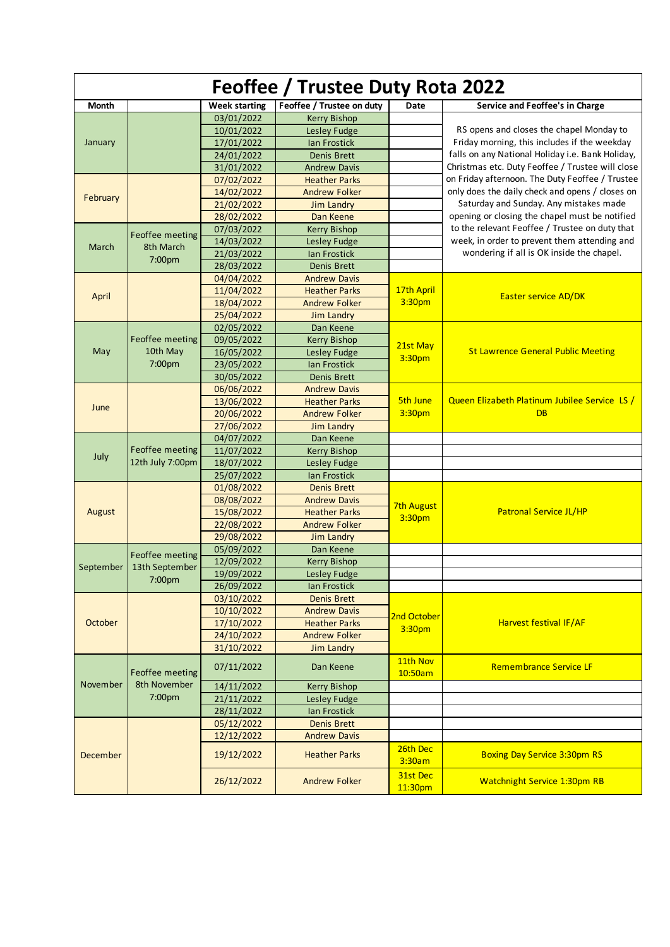| Feoffee / Trustee Duty Rota 2022 |                                     |               |                           |                     |                                                                                           |  |  |
|----------------------------------|-------------------------------------|---------------|---------------------------|---------------------|-------------------------------------------------------------------------------------------|--|--|
| Month                            |                                     | Week starting | Feoffee / Trustee on duty | Date                | Service and Feoffee's in Charge                                                           |  |  |
|                                  |                                     | 03/01/2022    | <b>Kerry Bishop</b>       |                     |                                                                                           |  |  |
|                                  |                                     | 10/01/2022    | Lesley Fudge              |                     | RS opens and closes the chapel Monday to                                                  |  |  |
| January                          |                                     | 17/01/2022    | Ian Frostick              |                     | Friday morning, this includes if the weekday                                              |  |  |
|                                  |                                     | 24/01/2022    | <b>Denis Brett</b>        |                     | falls on any National Holiday i.e. Bank Holiday,                                          |  |  |
|                                  |                                     | 31/01/2022    | <b>Andrew Davis</b>       |                     | Christmas etc. Duty Feoffee / Trustee will close                                          |  |  |
|                                  |                                     | 07/02/2022    | <b>Heather Parks</b>      |                     | on Friday afternoon. The Duty Feoffee / Trustee                                           |  |  |
| February                         |                                     | 14/02/2022    | <b>Andrew Folker</b>      |                     | only does the daily check and opens / closes on                                           |  |  |
|                                  |                                     | 21/02/2022    | <b>Jim Landry</b>         |                     | Saturday and Sunday. Any mistakes made<br>opening or closing the chapel must be notified  |  |  |
|                                  |                                     | 28/02/2022    | Dan Keene                 |                     |                                                                                           |  |  |
|                                  | Feoffee meeting                     | 07/03/2022    | <b>Kerry Bishop</b>       |                     | to the relevant Feoffee / Trustee on duty that                                            |  |  |
| March                            | 8th March<br>7:00pm                 | 14/03/2022    | Lesley Fudge              |                     | week, in order to prevent them attending and<br>wondering if all is OK inside the chapel. |  |  |
|                                  |                                     | 21/03/2022    | Ian Frostick              |                     |                                                                                           |  |  |
|                                  |                                     | 28/03/2022    | <b>Denis Brett</b>        |                     |                                                                                           |  |  |
|                                  |                                     | 04/04/2022    | <b>Andrew Davis</b>       |                     |                                                                                           |  |  |
| April                            |                                     | 11/04/2022    | <b>Heather Parks</b>      | 17th April          | <b>Easter service AD/DK</b>                                                               |  |  |
|                                  |                                     | 18/04/2022    | <b>Andrew Folker</b>      | 3:30pm              |                                                                                           |  |  |
|                                  |                                     | 25/04/2022    | Jim Landry                |                     |                                                                                           |  |  |
|                                  |                                     | 02/05/2022    | Dan Keene                 |                     |                                                                                           |  |  |
|                                  | Feoffee meeting                     | 09/05/2022    | <b>Kerry Bishop</b>       | 21st May            |                                                                                           |  |  |
| May                              | 10th May                            | 16/05/2022    | Lesley Fudge              | 3:30pm              | <b>St Lawrence General Public Meeting</b>                                                 |  |  |
|                                  | 7:00pm                              | 23/05/2022    | <b>Ian Frostick</b>       |                     |                                                                                           |  |  |
|                                  |                                     | 30/05/2022    | <b>Denis Brett</b>        |                     |                                                                                           |  |  |
|                                  |                                     | 06/06/2022    | <b>Andrew Davis</b>       |                     |                                                                                           |  |  |
| June                             |                                     | 13/06/2022    | <b>Heather Parks</b>      | <b>5th June</b>     | Queen Elizabeth Platinum Jubilee Service LS /                                             |  |  |
|                                  |                                     | 20/06/2022    | <b>Andrew Folker</b>      | 3:30pm              | <b>DB</b>                                                                                 |  |  |
|                                  |                                     | 27/06/2022    | <b>Jim Landry</b>         |                     |                                                                                           |  |  |
|                                  |                                     | 04/07/2022    | Dan Keene                 |                     |                                                                                           |  |  |
| July                             | Feoffee meeting<br>12th July 7:00pm | 11/07/2022    | <b>Kerry Bishop</b>       |                     |                                                                                           |  |  |
|                                  |                                     | 18/07/2022    | Lesley Fudge              |                     |                                                                                           |  |  |
|                                  |                                     | 25/07/2022    | Ian Frostick              |                     |                                                                                           |  |  |
|                                  |                                     | 01/08/2022    | <b>Denis Brett</b>        |                     | <b>Patronal Service JL/HP</b>                                                             |  |  |
|                                  |                                     | 08/08/2022    | <b>Andrew Davis</b>       | 7th August          |                                                                                           |  |  |
| August                           |                                     | 15/08/2022    | <b>Heather Parks</b>      | 3:30pm              |                                                                                           |  |  |
|                                  |                                     | 22/08/2022    | <b>Andrew Folker</b>      |                     |                                                                                           |  |  |
|                                  |                                     | 29/08/2022    | Jim Landry                |                     |                                                                                           |  |  |
|                                  | Feoffee meeting                     | 05/09/2022    | Dan Keene                 |                     |                                                                                           |  |  |
| September                        | 13th September<br>7:00pm            | 12/09/2022    | <b>Kerry Bishop</b>       |                     |                                                                                           |  |  |
|                                  |                                     | 19/09/2022    | Lesley Fudge              |                     |                                                                                           |  |  |
|                                  |                                     | 26/09/2022    | Ian Frostick              |                     |                                                                                           |  |  |
|                                  |                                     | 03/10/2022    | <b>Denis Brett</b>        |                     |                                                                                           |  |  |
|                                  |                                     | 10/10/2022    | <b>Andrew Davis</b>       | 2nd October         | Harvest festival IF/AF                                                                    |  |  |
| October                          |                                     | 17/10/2022    | <b>Heather Parks</b>      | 3:30pm              |                                                                                           |  |  |
|                                  |                                     | 24/10/2022    | <b>Andrew Folker</b>      |                     |                                                                                           |  |  |
|                                  |                                     | 31/10/2022    | <b>Jim Landry</b>         |                     |                                                                                           |  |  |
| November                         | Feoffee meeting                     | 07/11/2022    | Dan Keene                 | 11th Nov<br>10:50am | <b>Remembrance Service LF</b>                                                             |  |  |
|                                  | 8th November                        | 14/11/2022    | <b>Kerry Bishop</b>       |                     |                                                                                           |  |  |
|                                  | 7:00pm                              | 21/11/2022    | Lesley Fudge              |                     |                                                                                           |  |  |
|                                  |                                     | 28/11/2022    | Ian Frostick              |                     |                                                                                           |  |  |
| December                         |                                     | 05/12/2022    | <b>Denis Brett</b>        |                     |                                                                                           |  |  |
|                                  |                                     | 12/12/2022    | <b>Andrew Davis</b>       |                     |                                                                                           |  |  |
|                                  |                                     | 19/12/2022    | <b>Heather Parks</b>      | 26th Dec<br>3:30am  | <b>Boxing Day Service 3:30pm RS</b>                                                       |  |  |
|                                  |                                     | 26/12/2022    | <b>Andrew Folker</b>      | 31st Dec<br>11:30pm | <b>Watchnight Service 1:30pm RB</b>                                                       |  |  |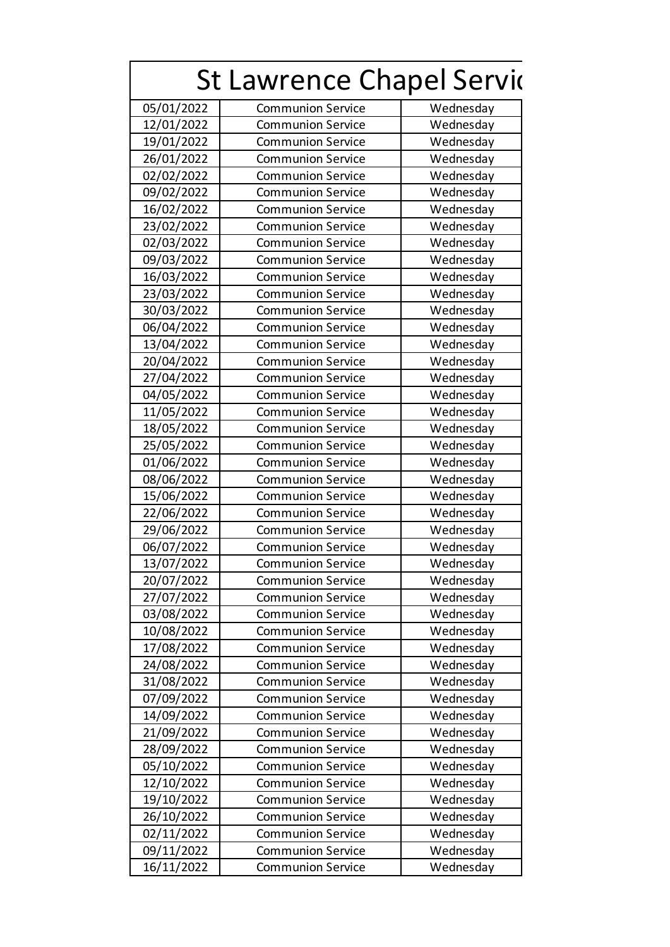| <b>St Lawrence Chapel Servic</b> |                          |           |  |  |  |  |
|----------------------------------|--------------------------|-----------|--|--|--|--|
| 05/01/2022                       | <b>Communion Service</b> | Wednesday |  |  |  |  |
| 12/01/2022                       | <b>Communion Service</b> | Wednesday |  |  |  |  |
| 19/01/2022                       | <b>Communion Service</b> | Wednesday |  |  |  |  |
| 26/01/2022                       | <b>Communion Service</b> | Wednesday |  |  |  |  |
| 02/02/2022                       | <b>Communion Service</b> | Wednesday |  |  |  |  |
| 09/02/2022                       | <b>Communion Service</b> | Wednesday |  |  |  |  |
| 16/02/2022                       | <b>Communion Service</b> | Wednesday |  |  |  |  |
| 23/02/2022                       | <b>Communion Service</b> | Wednesday |  |  |  |  |
| 02/03/2022                       | <b>Communion Service</b> | Wednesday |  |  |  |  |
| 09/03/2022                       | <b>Communion Service</b> | Wednesday |  |  |  |  |
| 16/03/2022                       | <b>Communion Service</b> | Wednesday |  |  |  |  |
| 23/03/2022                       | <b>Communion Service</b> | Wednesday |  |  |  |  |
| 30/03/2022                       | <b>Communion Service</b> | Wednesday |  |  |  |  |
| 06/04/2022                       | <b>Communion Service</b> | Wednesday |  |  |  |  |
| 13/04/2022                       | <b>Communion Service</b> | Wednesday |  |  |  |  |
| 20/04/2022                       | <b>Communion Service</b> | Wednesday |  |  |  |  |
| 27/04/2022                       | <b>Communion Service</b> | Wednesday |  |  |  |  |
| 04/05/2022                       | <b>Communion Service</b> | Wednesday |  |  |  |  |
| 11/05/2022                       | <b>Communion Service</b> | Wednesday |  |  |  |  |
| 18/05/2022                       | <b>Communion Service</b> | Wednesday |  |  |  |  |
| 25/05/2022                       | <b>Communion Service</b> | Wednesday |  |  |  |  |
| 01/06/2022                       | <b>Communion Service</b> | Wednesday |  |  |  |  |
| 08/06/2022                       | <b>Communion Service</b> | Wednesday |  |  |  |  |
| 15/06/2022                       | <b>Communion Service</b> | Wednesday |  |  |  |  |
| 22/06/2022                       | <b>Communion Service</b> | Wednesday |  |  |  |  |
| 29/06/2022                       | <b>Communion Service</b> | Wednesday |  |  |  |  |
| 06/07/2022                       | <b>Communion Service</b> | Wednesday |  |  |  |  |
| 13/07/2022                       | Communion Service        | Wednesday |  |  |  |  |
| 20/07/2022                       | <b>Communion Service</b> | Wednesday |  |  |  |  |
| 27/07/2022                       | <b>Communion Service</b> | Wednesday |  |  |  |  |
| 03/08/2022                       | <b>Communion Service</b> | Wednesday |  |  |  |  |
| 10/08/2022                       | <b>Communion Service</b> | Wednesday |  |  |  |  |
| 17/08/2022                       | <b>Communion Service</b> | Wednesday |  |  |  |  |
| 24/08/2022                       | <b>Communion Service</b> | Wednesday |  |  |  |  |
| 31/08/2022                       | <b>Communion Service</b> | Wednesday |  |  |  |  |
| 07/09/2022                       | <b>Communion Service</b> | Wednesday |  |  |  |  |
| 14/09/2022                       | <b>Communion Service</b> | Wednesday |  |  |  |  |
| 21/09/2022                       | <b>Communion Service</b> | Wednesday |  |  |  |  |
| 28/09/2022                       | <b>Communion Service</b> | Wednesday |  |  |  |  |
| 05/10/2022                       | <b>Communion Service</b> | Wednesday |  |  |  |  |
| 12/10/2022                       | <b>Communion Service</b> | Wednesday |  |  |  |  |
| 19/10/2022                       | <b>Communion Service</b> | Wednesday |  |  |  |  |
| 26/10/2022                       | <b>Communion Service</b> | Wednesday |  |  |  |  |
| 02/11/2022                       | <b>Communion Service</b> | Wednesday |  |  |  |  |
| 09/11/2022                       | <b>Communion Service</b> | Wednesday |  |  |  |  |
| 16/11/2022                       | <b>Communion Service</b> | Wednesday |  |  |  |  |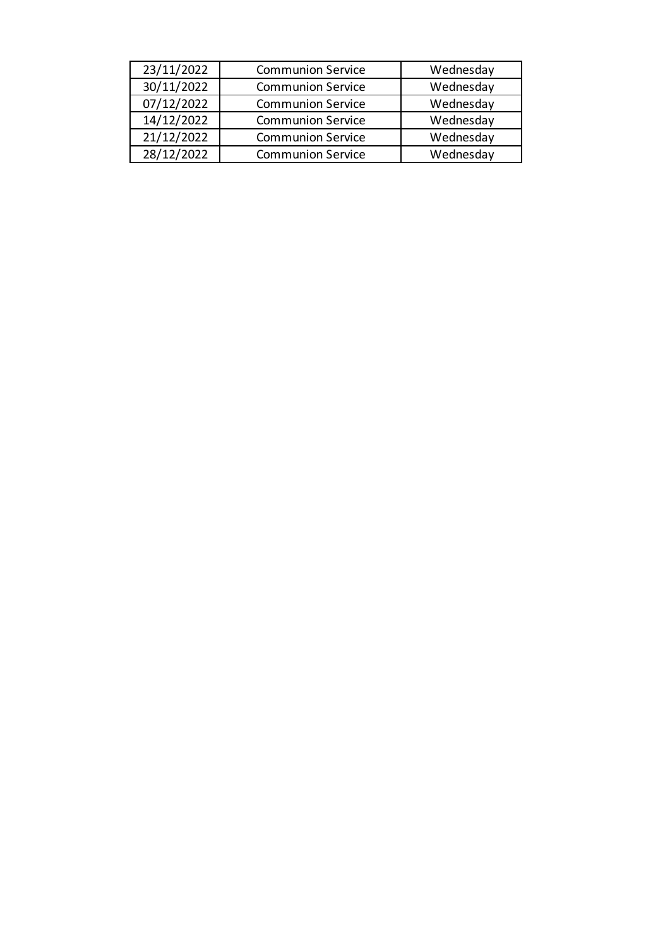| 23/11/2022 | <b>Communion Service</b> | Wednesday |
|------------|--------------------------|-----------|
| 30/11/2022 | <b>Communion Service</b> | Wednesday |
| 07/12/2022 | <b>Communion Service</b> | Wednesday |
| 14/12/2022 | <b>Communion Service</b> | Wednesday |
| 21/12/2022 | <b>Communion Service</b> | Wednesday |
| 28/12/2022 | <b>Communion Service</b> | Wednesday |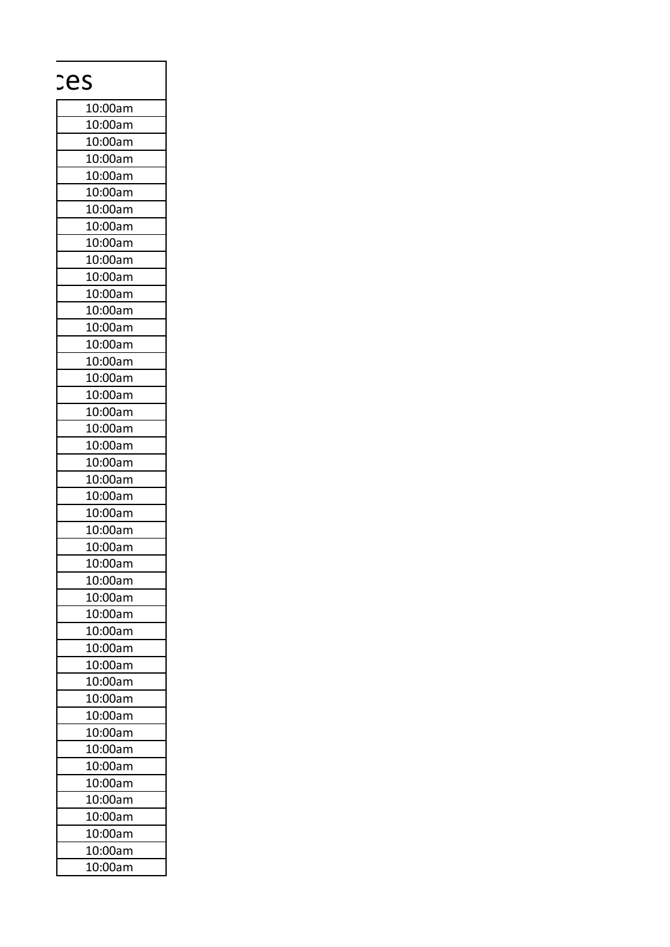|         | ces |
|---------|-----|
| 10:00am |     |
| 10:00am |     |
| 10:00am |     |
| 10:00am |     |
| 10:00am |     |
| 10:00am |     |
| 10:00am |     |
| 10:00am |     |
| 10:00am |     |
| 10:00am |     |
| 10:00am |     |
| 10:00am |     |
| 10:00am |     |
| 10:00am |     |
|         |     |
| 10:00am |     |
| 10:00am |     |
| 10:00am |     |
| 10:00am |     |
| 10:00am |     |
| 10:00am |     |
| 10:00am |     |
| 10:00am |     |
| 10:00am |     |
| 10:00am |     |
| 10:00am |     |
| 10:00am |     |
| 10:00am |     |
| 10:00am |     |
| 10:00am |     |
| 10:00am |     |
| 10:00am |     |
| 10:00am |     |
| 10:00am |     |
| 10:00am |     |
| 10:00am |     |
| 10:00am |     |
| 10:00am |     |
| 10:00am |     |
| 10:00am |     |
| 10:00am |     |
| 10:00am |     |
| 10:00am |     |
| 10:00am |     |
| 10:00am |     |
| 10:00am |     |
| 10:00am |     |